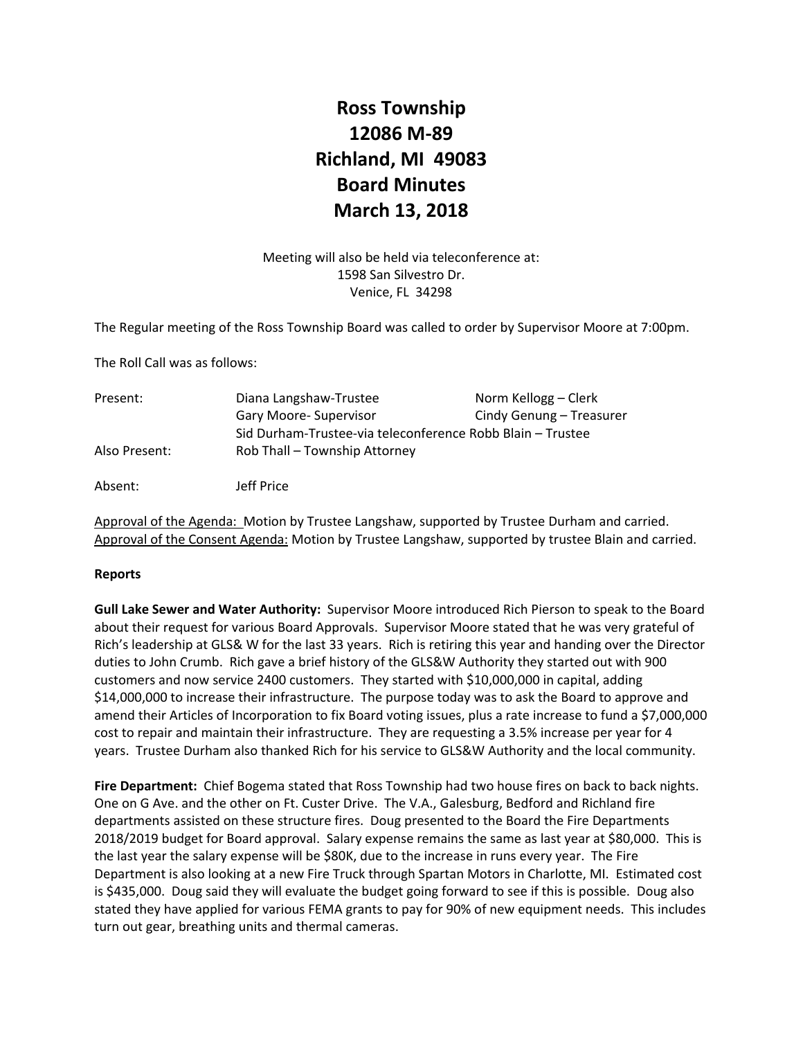# **Ross Township 12086 M‐89 Richland, MI 49083 Board Minutes March 13, 2018**

Meeting will also be held via teleconference at: 1598 San Silvestro Dr. Venice, FL 34298

The Regular meeting of the Ross Township Board was called to order by Supervisor Moore at 7:00pm.

The Roll Call was as follows:

| Present:      | Diana Langshaw-Trustee                                     | Norm Kellogg – Clerk     |
|---------------|------------------------------------------------------------|--------------------------|
|               | Gary Moore-Supervisor                                      | Cindy Genung – Treasurer |
|               | Sid Durham-Trustee-via teleconference Robb Blain – Trustee |                          |
| Also Present: | Rob Thall – Township Attorney                              |                          |
| Absent:       | Jeff Price                                                 |                          |

Approval of the Agenda: Motion by Trustee Langshaw, supported by Trustee Durham and carried. Approval of the Consent Agenda: Motion by Trustee Langshaw, supported by trustee Blain and carried.

#### **Reports**

**Gull Lake Sewer and Water Authority:** Supervisor Moore introduced Rich Pierson to speak to the Board about their request for various Board Approvals. Supervisor Moore stated that he was very grateful of Rich's leadership at GLS& W for the last 33 years. Rich is retiring this year and handing over the Director duties to John Crumb. Rich gave a brief history of the GLS&W Authority they started out with 900 customers and now service 2400 customers. They started with \$10,000,000 in capital, adding \$14,000,000 to increase their infrastructure. The purpose today was to ask the Board to approve and amend their Articles of Incorporation to fix Board voting issues, plus a rate increase to fund a \$7,000,000 cost to repair and maintain their infrastructure. They are requesting a 3.5% increase per year for 4 years. Trustee Durham also thanked Rich for his service to GLS&W Authority and the local community.

Fire Department: Chief Bogema stated that Ross Township had two house fires on back to back nights. One on G Ave. and the other on Ft. Custer Drive. The V.A., Galesburg, Bedford and Richland fire departments assisted on these structure fires. Doug presented to the Board the Fire Departments 2018/2019 budget for Board approval. Salary expense remains the same as last year at \$80,000. This is the last year the salary expense will be \$80K, due to the increase in runs every year. The Fire Department is also looking at a new Fire Truck through Spartan Motors in Charlotte, MI. Estimated cost is \$435,000. Doug said they will evaluate the budget going forward to see if this is possible. Doug also stated they have applied for various FEMA grants to pay for 90% of new equipment needs. This includes turn out gear, breathing units and thermal cameras.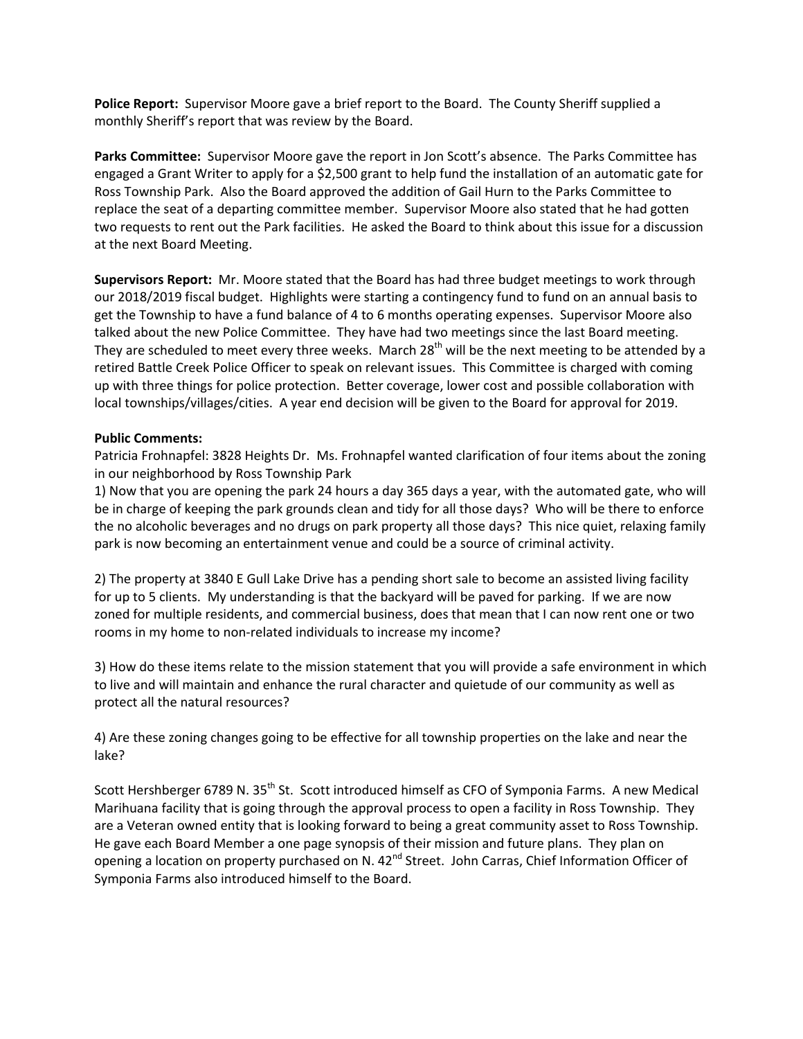**Police Report:** Supervisor Moore gave a brief report to the Board. The County Sheriff supplied a monthly Sheriff's report that was review by the Board.

**Parks Committee:** Supervisor Moore gave the report in Jon Scott's absence. The Parks Committee has engaged a Grant Writer to apply for a \$2,500 grant to help fund the installation of an automatic gate for Ross Township Park. Also the Board approved the addition of Gail Hurn to the Parks Committee to replace the seat of a departing committee member. Supervisor Moore also stated that he had gotten two requests to rent out the Park facilities. He asked the Board to think about this issue for a discussion at the next Board Meeting.

**Supervisors Report:** Mr. Moore stated that the Board has had three budget meetings to work through our 2018/2019 fiscal budget. Highlights were starting a contingency fund to fund on an annual basis to get the Township to have a fund balance of 4 to 6 months operating expenses. Supervisor Moore also talked about the new Police Committee. They have had two meetings since the last Board meeting. They are scheduled to meet every three weeks. March 28<sup>th</sup> will be the next meeting to be attended by a retired Battle Creek Police Officer to speak on relevant issues. This Committee is charged with coming up with three things for police protection. Better coverage, lower cost and possible collaboration with local townships/villages/cities. A year end decision will be given to the Board for approval for 2019.

### **Public Comments:**

Patricia Frohnapfel: 3828 Heights Dr. Ms. Frohnapfel wanted clarification of four items about the zoning in our neighborhood by Ross Township Park

1) Now that you are opening the park 24 hours a day 365 days a year, with the automated gate, who will be in charge of keeping the park grounds clean and tidy for all those days? Who will be there to enforce the no alcoholic beverages and no drugs on park property all those days? This nice quiet, relaxing family park is now becoming an entertainment venue and could be a source of criminal activity.

2) The property at 3840 E Gull Lake Drive has a pending short sale to become an assisted living facility for up to 5 clients. My understanding is that the backyard will be paved for parking. If we are now zoned for multiple residents, and commercial business, does that mean that I can now rent one or two rooms in my home to non-related individuals to increase my income?

3) How do these items relate to the mission statement that you will provide a safe environment in which to live and will maintain and enhance the rural character and quietude of our community as well as protect all the natural resources?

4) Are these zoning changes going to be effective for all township properties on the lake and near the lake?

Scott Hershberger 6789 N. 35<sup>th</sup> St. Scott introduced himself as CFO of Symponia Farms. A new Medical Marihuana facility that is going through the approval process to open a facility in Ross Township. They are a Veteran owned entity that is looking forward to being a great community asset to Ross Township. He gave each Board Member a one page synopsis of their mission and future plans. They plan on opening a location on property purchased on N. 42<sup>nd</sup> Street. John Carras, Chief Information Officer of Symponia Farms also introduced himself to the Board.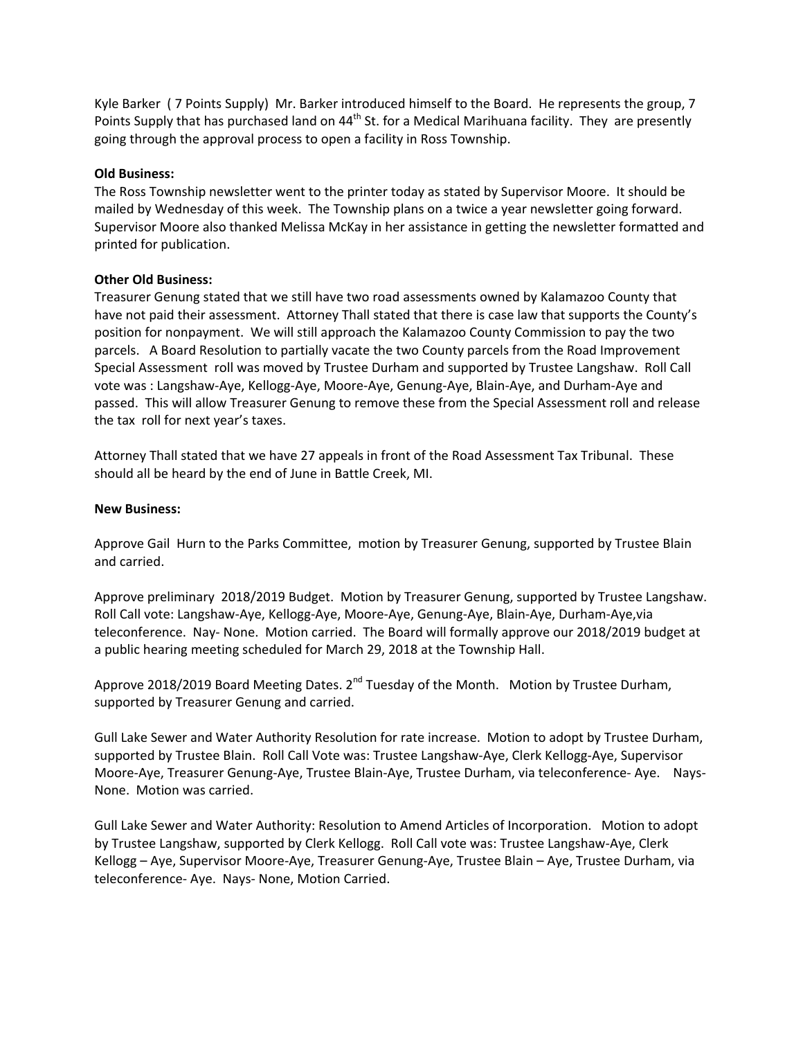Kyle Barker ( 7 Points Supply) Mr. Barker introduced himself to the Board. He represents the group, 7 Points Supply that has purchased land on 44<sup>th</sup> St. for a Medical Marihuana facility. They are presently going through the approval process to open a facility in Ross Township.

### **Old Business:**

The Ross Township newsletter went to the printer today as stated by Supervisor Moore. It should be mailed by Wednesday of this week. The Township plans on a twice a year newsletter going forward. Supervisor Moore also thanked Melissa McKay in her assistance in getting the newsletter formatted and printed for publication.

### **Other Old Business:**

Treasurer Genung stated that we still have two road assessments owned by Kalamazoo County that have not paid their assessment. Attorney Thall stated that there is case law that supports the County's position for nonpayment. We will still approach the Kalamazoo County Commission to pay the two parcels. A Board Resolution to partially vacate the two County parcels from the Road Improvement Special Assessment roll was moved by Trustee Durham and supported by Trustee Langshaw. Roll Call vote was : Langshaw‐Aye, Kellogg‐Aye, Moore‐Aye, Genung‐Aye, Blain‐Aye, and Durham‐Aye and passed. This will allow Treasurer Genung to remove these from the Special Assessment roll and release the tax roll for next year's taxes.

Attorney Thall stated that we have 27 appeals in front of the Road Assessment Tax Tribunal. These should all be heard by the end of June in Battle Creek, MI.

### **New Business:**

Approve Gail Hurn to the Parks Committee, motion by Treasurer Genung, supported by Trustee Blain and carried.

Approve preliminary 2018/2019 Budget. Motion by Treasurer Genung, supported by Trustee Langshaw. Roll Call vote: Langshaw‐Aye, Kellogg‐Aye, Moore‐Aye, Genung‐Aye, Blain‐Aye, Durham‐Aye,via teleconference. Nay‐ None. Motion carried. The Board will formally approve our 2018/2019 budget at a public hearing meeting scheduled for March 29, 2018 at the Township Hall.

Approve 2018/2019 Board Meeting Dates. 2<sup>nd</sup> Tuesday of the Month. Motion by Trustee Durham, supported by Treasurer Genung and carried.

Gull Lake Sewer and Water Authority Resolution for rate increase. Motion to adopt by Trustee Durham, supported by Trustee Blain. Roll Call Vote was: Trustee Langshaw‐Aye, Clerk Kellogg‐Aye, Supervisor Moore-Aye, Treasurer Genung-Aye, Trustee Blain-Aye, Trustee Durham, via teleconference- Aye. Nays-None. Motion was carried.

Gull Lake Sewer and Water Authority: Resolution to Amend Articles of Incorporation. Motion to adopt by Trustee Langshaw, supported by Clerk Kellogg. Roll Call vote was: Trustee Langshaw‐Aye, Clerk Kellogg – Aye, Supervisor Moore‐Aye, Treasurer Genung‐Aye, Trustee Blain – Aye, Trustee Durham, via teleconference‐ Aye. Nays‐ None, Motion Carried.